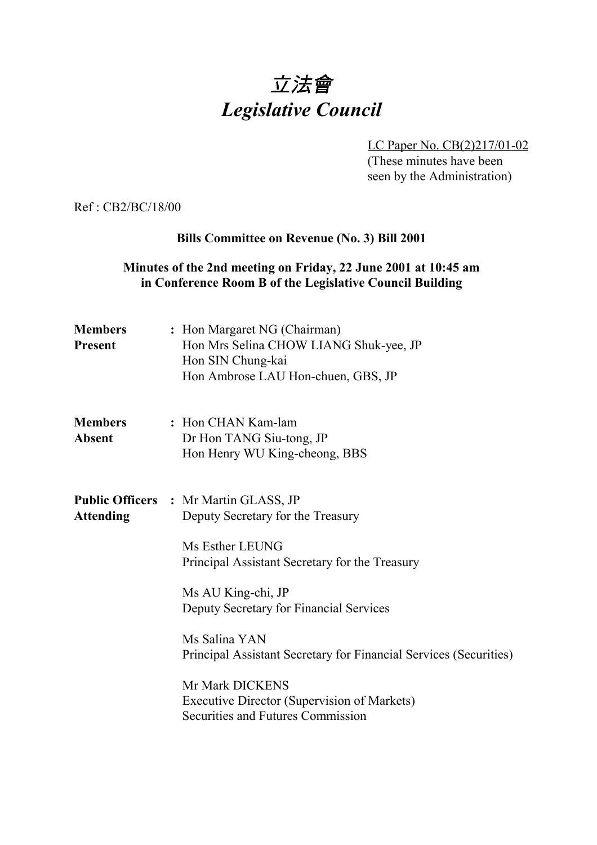# 立法會 *Legislative Council*

LC Paper No. CB(2)217/01-02 (These minutes have been seen by the Administration)

Ref : CB2/BC/18/00

#### **Bills Committee on Revenue (No. 3) Bill 2001**

## **Minutes of the 2nd meeting on Friday, 22 June 2001 at 10:45 am in Conference Room B of the Legislative Council Building**

| <b>Members</b><br><b>Present</b> | : Hon Margaret NG (Chairman)<br>Hon Mrs Selina CHOW LIANG Shuk-yee, JP<br>Hon SIN Chung-kai<br>Hon Ambrose LAU Hon-chuen, GBS, JP |
|----------------------------------|-----------------------------------------------------------------------------------------------------------------------------------|
| <b>Members</b><br><b>Absent</b>  | : Hon CHAN Kam-lam<br>Dr Hon TANG Siu-tong, JP<br>Hon Henry WU King-cheong, BBS                                                   |
| <b>Attending</b>                 | <b>Public Officers : Mr Martin GLASS, JP</b><br>Deputy Secretary for the Treasury                                                 |
|                                  | Ms Esther LEUNG<br>Principal Assistant Secretary for the Treasury                                                                 |
|                                  | Ms AU King-chi, JP<br>Deputy Secretary for Financial Services                                                                     |
|                                  | Ms Salina YAN<br>Principal Assistant Secretary for Financial Services (Securities)                                                |
|                                  | Mr Mark DICKENS<br>Executive Director (Supervision of Markets)<br>Securities and Futures Commission                               |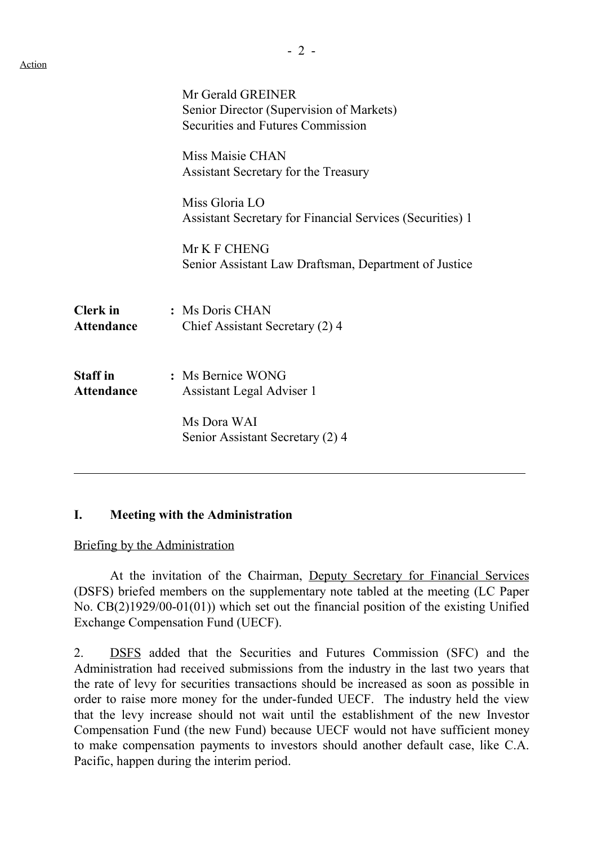|                                      | Mr Gerald GREINER<br>Senior Director (Supervision of Markets)<br><b>Securities and Futures Commission</b> |
|--------------------------------------|-----------------------------------------------------------------------------------------------------------|
|                                      | Miss Maisie CHAN<br>Assistant Secretary for the Treasury                                                  |
|                                      | Miss Gloria LO<br><b>Assistant Secretary for Financial Services (Securities) 1</b>                        |
|                                      | Mr K F CHENG<br>Senior Assistant Law Draftsman, Department of Justice                                     |
| <b>Clerk</b> in<br><b>Attendance</b> | : Ms Doris CHAN<br>Chief Assistant Secretary (2) 4                                                        |
| <b>Staff</b> in<br><b>Attendance</b> | : Ms Bernice WONG<br>Assistant Legal Adviser 1                                                            |
|                                      | Ms Dora WAI<br>Senior Assistant Secretary (2) 4                                                           |

#### **I. Meeting with the Administration**

Briefing by the Administration

At the invitation of the Chairman, Deputy Secretary for Financial Services (DSFS) briefed members on the supplementary note tabled at the meeting (LC Paper No. CB(2)1929/00-01(01)) which set out the financial position of the existing Unified Exchange Compensation Fund (UECF).

2. DSFS added that the Securities and Futures Commission (SFC) and the Administration had received submissions from the industry in the last two years that the rate of levy for securities transactions should be increased as soon as possible in order to raise more money for the under-funded UECF. The industry held the view that the levy increase should not wait until the establishment of the new Investor Compensation Fund (the new Fund) because UECF would not have sufficient money to make compensation payments to investors should another default case, like C.A. Pacific, happen during the interim period.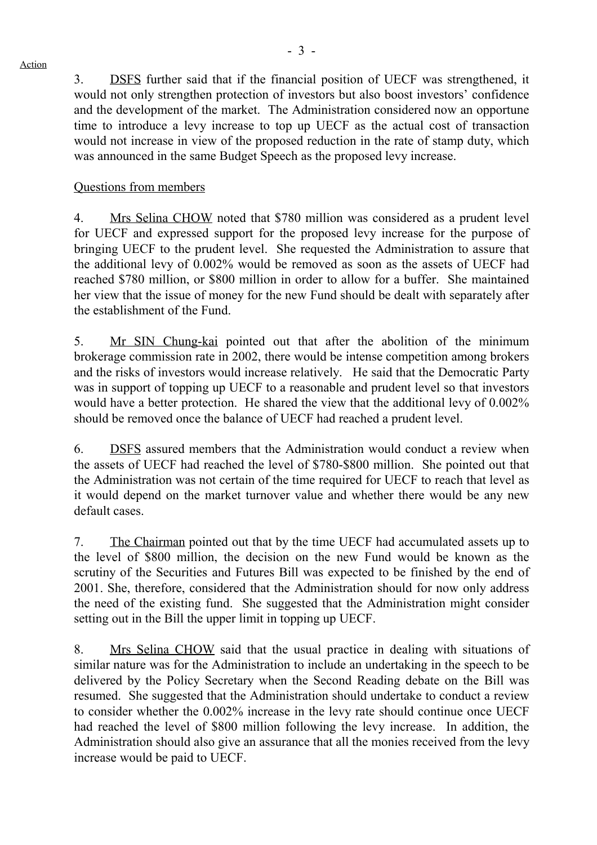3. DSFS further said that if the financial position of UECF was strengthened, it would not only strengthen protection of investors but also boost investors' confidence and the development of the market. The Administration considered now an opportune time to introduce a levy increase to top up UECF as the actual cost of transaction would not increase in view of the proposed reduction in the rate of stamp duty, which was announced in the same Budget Speech as the proposed levy increase.

### Questions from members

Action

4. Mrs Selina CHOW noted that \$780 million was considered as a prudent level for UECF and expressed support for the proposed levy increase for the purpose of bringing UECF to the prudent level. She requested the Administration to assure that the additional levy of 0.002% would be removed as soon as the assets of UECF had reached \$780 million, or \$800 million in order to allow for a buffer. She maintained her view that the issue of money for the new Fund should be dealt with separately after the establishment of the Fund.

5. Mr SIN Chung-kai pointed out that after the abolition of the minimum brokerage commission rate in 2002, there would be intense competition among brokers and the risks of investors would increase relatively. He said that the Democratic Party was in support of topping up UECF to a reasonable and prudent level so that investors would have a better protection. He shared the view that the additional levy of 0.002% should be removed once the balance of UECF had reached a prudent level.

6. DSFS assured members that the Administration would conduct a review when the assets of UECF had reached the level of \$780-\$800 million. She pointed out that the Administration was not certain of the time required for UECF to reach that level as it would depend on the market turnover value and whether there would be any new default cases.

7. The Chairman pointed out that by the time UECF had accumulated assets up to the level of \$800 million, the decision on the new Fund would be known as the scrutiny of the Securities and Futures Bill was expected to be finished by the end of 2001. She, therefore, considered that the Administration should for now only address the need of the existing fund. She suggested that the Administration might consider setting out in the Bill the upper limit in topping up UECF.

8. Mrs Selina CHOW said that the usual practice in dealing with situations of similar nature was for the Administration to include an undertaking in the speech to be delivered by the Policy Secretary when the Second Reading debate on the Bill was resumed. She suggested that the Administration should undertake to conduct a review to consider whether the 0.002% increase in the levy rate should continue once UECF had reached the level of \$800 million following the levy increase. In addition, the Administration should also give an assurance that all the monies received from the levy increase would be paid to UECF.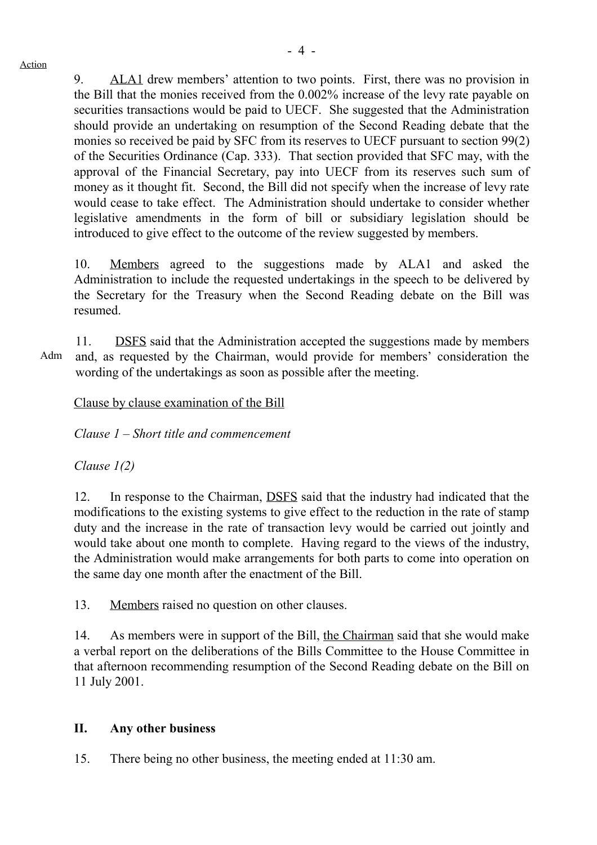9. ALA1 drew members' attention to two points. First, there was no provision in the Bill that the monies received from the 0.002% increase of the levy rate payable on securities transactions would be paid to UECF. She suggested that the Administration should provide an undertaking on resumption of the Second Reading debate that the monies so received be paid by SFC from its reserves to UECF pursuant to section 99(2) of the Securities Ordinance (Cap. 333). That section provided that SFC may, with the approval of the Financial Secretary, pay into UECF from its reserves such sum of money as it thought fit. Second, the Bill did not specify when the increase of levy rate would cease to take effect. The Administration should undertake to consider whether legislative amendments in the form of bill or subsidiary legislation should be introduced to give effect to the outcome of the review suggested by members.

10. Members agreed to the suggestions made by ALA1 and asked the Administration to include the requested undertakings in the speech to be delivered by the Secretary for the Treasury when the Second Reading debate on the Bill was resumed.

11. DSFS said that the Administration accepted the suggestions made by members and, as requested by the Chairman, would provide for members' consideration the wording of the undertakings as soon as possible after the meeting.

Clause by clause examination of the Bill

*Clause 1 – Short title and commencement*

*Clause 1(2)*

12. In response to the Chairman, DSFS said that the industry had indicated that the modifications to the existing systems to give effect to the reduction in the rate of stamp duty and the increase in the rate of transaction levy would be carried out jointly and would take about one month to complete. Having regard to the views of the industry, the Administration would make arrangements for both parts to come into operation on the same day one month after the enactment of the Bill.

13. Members raised no question on other clauses.

14. As members were in support of the Bill, the Chairman said that she would make a verbal report on the deliberations of the Bills Committee to the House Committee in that afternoon recommending resumption of the Second Reading debate on the Bill on 11 July 2001.

# **II. Any other business**

15. There being no other business, the meeting ended at 11:30 am.

Adm